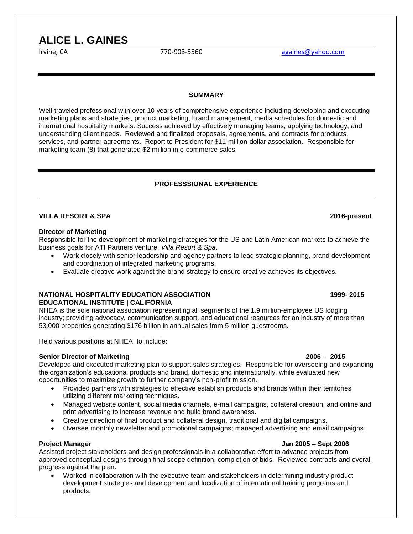# **ALICE L. GAINES**

Irvine, CA **1988** [againes@yahoo.com](mailto:againes@yahoo.com)

### **SUMMARY**

Well-traveled professional with over 10 years of comprehensive experience including developing and executing marketing plans and strategies, product marketing, brand management, media schedules for domestic and international hospitality markets. Success achieved by effectively managing teams, applying technology, and understanding client needs. Reviewed and finalized proposals, agreements, and contracts for products, services, and partner agreements.Report to President for \$11-million-dollar association. Responsible for marketing team (8) that generated \$2 million in e-commerce sales.

### **PROFESSSIONAL EXPERIENCE**

### **VILLA RESORT & SPA 2016-present**

### **Director of Marketing**

Responsible for the development of marketing strategies for the US and Latin American markets to achieve the business goals for ATI Partners venture, *Villa Resort & Spa*.

- Work closely with senior leadership and agency partners to lead strategic planning, brand development and coordination of integrated marketing programs.
- Evaluate creative work against the brand strategy to ensure creative achieves its objectives.

### **NATIONAL HOSPITALITY EDUCATION ASSOCIATION 1999- 2015 EDUCATIONAL INSTITUTE | CALIFORNIA**

NHEA is the sole national association representing all segments of the 1.9 million-employee US lodging industry; providing advocacy, communication support, and educational resources for an industry of more than 53,000 properties generating \$176 billion in annual sales from 5 million guestrooms.

Held various positions at NHEA, to include:

### **Senior Director of Marketing 2006 – 2015**

Developed and executed marketing plan to support sales strategies.Responsible for overseeing and expanding the organization's educational products and brand, domestic and internationally, while evaluated new opportunities to maximize growth to further company's non-profit mission.

- Provided partners with strategies to effective establish products and brands within their territories utilizing different marketing techniques.
- Managed website content, social media channels, e-mail campaigns, collateral creation, and online and print advertising to increase revenue and build brand awareness.
- Creative direction of final product and collateral design, traditional and digital campaigns.
- Oversee monthly newsletter and promotional campaigns; managed advertising and email campaigns.

### **Project Manager Jan 2005 – Sept 2006**

Assisted project stakeholders and design professionals in a collaborative effort to advance projects from approved conceptual designs through final scope definition, completion of bids.Reviewed contracts and overall progress against the plan.

 Worked in collaboration with the executive team and stakeholders in determining industry product development strategies and development and localization of international training programs and products.